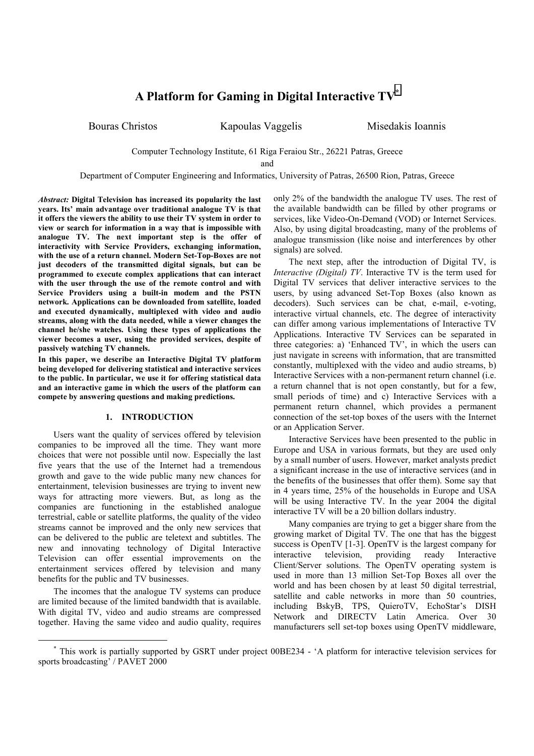# **A Platform for Gaming in Digital Interactive TV\***

Bouras Christos **Kapoulas Vaggelis** Misedakis Ioannis

Computer Technology Institute, 61 Riga Feraiou Str., 26221 Patras, Greece

and

Department of Computer Engineering and Informatics, University of Patras, 26500 Rion, Patras, Greece

*Abstract:* **Digital Television has increased its popularity the last years. Its' main advantage over traditional analogue TV is that it offers the viewers the ability to use their TV system in order to view or search for information in a way that is impossible with analogue TV. The next important step is the offer of interactivity with Service Providers, exchanging information, with the use of a return channel. Modern Set-Top-Boxes are not just decoders of the transmitted digital signals, but can be programmed to execute complex applications that can interact with the user through the use of the remote control and with Service Providers using a built-in modem and the PSTN network. Applications can be downloaded from satellite, loaded and executed dynamically, multiplexed with video and audio streams, along with the data needed, while a viewer changes the channel he/she watches. Using these types of applications the viewer becomes a user, using the provided services, despite of passively watching TV channels.**

**In this paper, we describe an Interactive Digital TV platform being developed for delivering statistical and interactive services to the public. In particular, we use it for offering statistical data and an interactive game in which the users of the platform can compete by answering questions and making predictions.**

## **1. INTRODUCTION**

Users want the quality of services offered by television companies to be improved all the time. They want more choices that were not possible until now. Especially the last five years that the use of the Internet had a tremendous growth and gave to the wide public many new chances for entertainment, television businesses are trying to invent new ways for attracting more viewers. But, as long as the companies are functioning in the established analogue terrestrial, cable or satellite platforms, the quality of the video streams cannot be improved and the only new services that can be delivered to the public are teletext and subtitles. The new and innovating technology of Digital Interactive Television can offer essential improvements on the entertainment services offered by television and many benefits for the public and TV businesses.

The incomes that the analogue TV systems can produce are limited because of the limited bandwidth that is available. With digital TV, video and audio streams are compressed together. Having the same video and audio quality, requires only 2% of the bandwidth the analogue TV uses. The rest of the available bandwidth can be filled by other programs or services, like Video-On-Demand (VOD) or Internet Services. Also, by using digital broadcasting, many of the problems of analogue transmission (like noise and interferences by other signals) are solved.

The next step, after the introduction of Digital TV, is *Interactive (Digital) TV*. Interactive TV is the term used for Digital TV services that deliver interactive services to the users, by using advanced Set-Top Boxes (also known as decoders). Such services can be chat, e-mail, e-voting, interactive virtual channels, etc. The degree of interactivity can differ among various implementations of Interactive TV Applications. Interactive TV Services can be separated in three categories: a) 'Enhanced TV', in which the users can just navigate in screens with information, that are transmitted constantly, multiplexed with the video and audio streams, b) Interactive Services with a non-permanent return channel (i.e. a return channel that is not open constantly, but for a few, small periods of time) and c) Interactive Services with a permanent return channel, which provides a permanent connection of the set-top boxes of the users with the Internet or an Application Server.

Interactive Services have been presented to the public in Europe and USA in various formats, but they are used only by a small number of users. However, market analysts predict a significant increase in the use of interactive services (and in the benefits of the businesses that offer them). Some say that in 4 years time, 25% of the households in Europe and USA will be using Interactive TV. In the year 2004 the digital interactive TV will be a 20 billion dollars industry.

Many companies are trying to get a bigger share from the growing market of Digital TV. The one that has the biggest success is OpenTV [1-3]. OpenTV is the largest company for interactive television, providing ready Interactive Client/Server solutions. The OpenTV operating system is used in more than 13 million Set-Top Boxes all over the world and has been chosen by at least 50 digital terrestrial, satellite and cable networks in more than 50 countries, including BskyB, TPS, QuieroTV, EchoStar's DISH Network and DIRECTV Latin America. Over 30 manufacturers sell set-top boxes using OpenTV middleware,

 <sup>\*</sup> This work is partially supported by GSRT under project 00BE234 - 'A platform for interactive television services for sports broadcasting' / PAVET 2000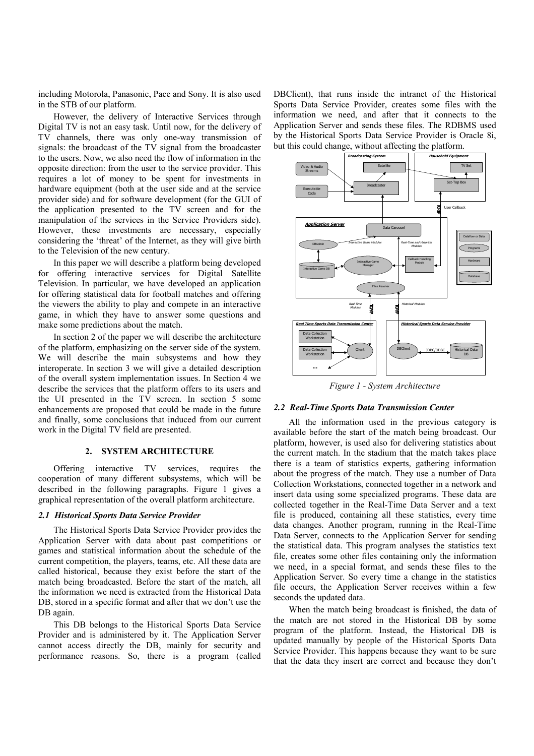including Motorola, Panasonic, Pace and Sony. It is also used in the STB of our platform.

However, the delivery of Interactive Services through Digital TV is not an easy task. Until now, for the delivery of TV channels, there was only one-way transmission of signals: the broadcast of the TV signal from the broadcaster to the users. Now, we also need the flow of information in the opposite direction: from the user to the service provider. This requires a lot of money to be spent for investments in hardware equipment (both at the user side and at the service provider side) and for software development (for the GUI of the application presented to the TV screen and for the manipulation of the services in the Service Providers side). However, these investments are necessary, especially considering the 'threat' of the Internet, as they will give birth to the Television of the new century.

In this paper we will describe a platform being developed for offering interactive services for Digital Satellite Television. In particular, we have developed an application for offering statistical data for football matches and offering the viewers the ability to play and compete in an interactive game, in which they have to answer some questions and make some predictions about the match.

In section 2 of the paper we will describe the architecture of the platform, emphasizing on the server side of the system. We will describe the main subsystems and how they interoperate. In section 3 we will give a detailed description of the overall system implementation issues. In Section 4 we describe the services that the platform offers to its users and the UI presented in the TV screen. In section 5 some enhancements are proposed that could be made in the future and finally, some conclusions that induced from our current work in the Digital TV field are presented.

## **2. SYSTEM ARCHITECTURE**

Offering interactive TV services, requires the cooperation of many different subsystems, which will be described in the following paragraphs. Figure 1 gives a graphical representation of the overall platform architecture.

## *2.1 Historical Sports Data Service Provider*

The Historical Sports Data Service Provider provides the Application Server with data about past competitions or games and statistical information about the schedule of the current competition, the players, teams, etc. All these data are called historical, because they exist before the start of the match being broadcasted. Before the start of the match, all the information we need is extracted from the Historical Data DB, stored in a specific format and after that we don't use the DB again.

This DB belongs to the Historical Sports Data Service Provider and is administered by it. The Application Server cannot access directly the DB, mainly for security and performance reasons. So, there is a program (called

DBClient), that runs inside the intranet of the Historical Sports Data Service Provider, creates some files with the information we need, and after that it connects to the Application Server and sends these files. The RDBMS used by the Historical Sports Data Service Provider is Oracle 8i, but this could change, without affecting the platform.



*Figure 1 - System Architecture*

#### *2.2 Real-Time Sports Data Transmission Center*

All the information used in the previous category is available before the start of the match being broadcast. Our platform, however, is used also for delivering statistics about the current match. In the stadium that the match takes place there is a team of statistics experts, gathering information about the progress of the match. They use a number of Data Collection Workstations, connected together in a network and insert data using some specialized programs. These data are collected together in the Real-Time Data Server and a text file is produced, containing all these statistics, every time data changes. Another program, running in the Real-Time Data Server, connects to the Application Server for sending the statistical data. This program analyses the statistics text file, creates some other files containing only the information we need, in a special format, and sends these files to the Application Server. So every time a change in the statistics file occurs, the Application Server receives within a few seconds the updated data.

When the match being broadcast is finished, the data of the match are not stored in the Historical DB by some program of the platform. Instead, the Historical DB is updated manually by people of the Historical Sports Data Service Provider. This happens because they want to be sure that the data they insert are correct and because they don't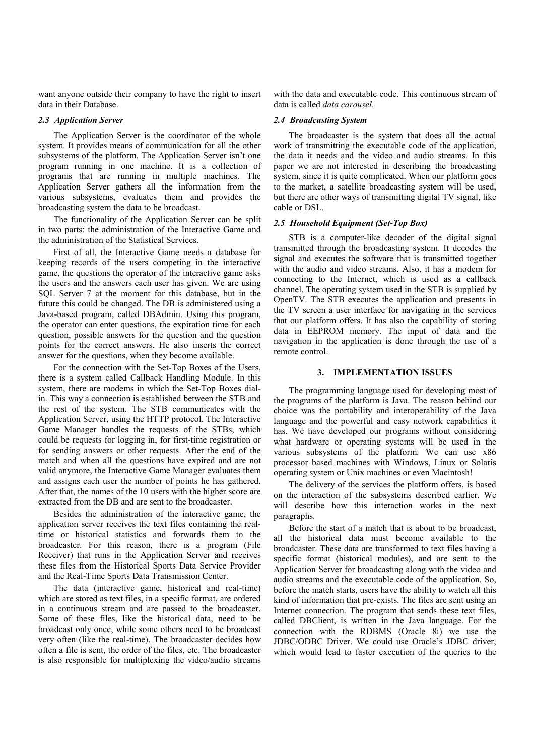want anyone outside their company to have the right to insert data in their Database.

### *2.3 Application Server*

The Application Server is the coordinator of the whole system. It provides means of communication for all the other subsystems of the platform. The Application Server isn't one program running in one machine. It is a collection of programs that are running in multiple machines. The Application Server gathers all the information from the various subsystems, evaluates them and provides the broadcasting system the data to be broadcast.

The functionality of the Application Server can be split in two parts: the administration of the Interactive Game and the administration of the Statistical Services.

First of all, the Interactive Game needs a database for keeping records of the users competing in the interactive game, the questions the operator of the interactive game asks the users and the answers each user has given. We are using SQL Server 7 at the moment for this database, but in the future this could be changed. The DB is administered using a Java-based program, called DBAdmin. Using this program, the operator can enter questions, the expiration time for each question, possible answers for the question and the question points for the correct answers. He also inserts the correct answer for the questions, when they become available.

For the connection with the Set-Top Boxes of the Users, there is a system called Callback Handling Module. In this system, there are modems in which the Set-Top Boxes dialin. This way a connection is established between the STB and the rest of the system. The STB communicates with the Application Server, using the HTTP protocol. The Interactive Game Manager handles the requests of the STBs, which could be requests for logging in, for first-time registration or for sending answers or other requests. After the end of the match and when all the questions have expired and are not valid anymore, the Interactive Game Manager evaluates them and assigns each user the number of points he has gathered. After that, the names of the 10 users with the higher score are extracted from the DB and are sent to the broadcaster.

Besides the administration of the interactive game, the application server receives the text files containing the realtime or historical statistics and forwards them to the broadcaster. For this reason, there is a program (File Receiver) that runs in the Application Server and receives these files from the Historical Sports Data Service Provider and the Real-Time Sports Data Transmission Center.

The data (interactive game, historical and real-time) which are stored as text files, in a specific format, are ordered in a continuous stream and are passed to the broadcaster. Some of these files, like the historical data, need to be broadcast only once, while some others need to be broadcast very often (like the real-time). The broadcaster decides how often a file is sent, the order of the files, etc. The broadcaster is also responsible for multiplexing the video/audio streams with the data and executable code. This continuous stream of data is called *data carousel*.

#### *2.4 Broadcasting System*

The broadcaster is the system that does all the actual work of transmitting the executable code of the application, the data it needs and the video and audio streams. In this paper we are not interested in describing the broadcasting system, since it is quite complicated. When our platform goes to the market, a satellite broadcasting system will be used, but there are other ways of transmitting digital TV signal, like cable or DSL.

## *2.5 Household Equipment (Set-Top Box)*

STB is a computer-like decoder of the digital signal transmitted through the broadcasting system. It decodes the signal and executes the software that is transmitted together with the audio and video streams. Also, it has a modem for connecting to the Internet, which is used as a callback channel. The operating system used in the STB is supplied by OpenTV. The STB executes the application and presents in the TV screen a user interface for navigating in the services that our platform offers. It has also the capability of storing data in EEPROM memory. The input of data and the navigation in the application is done through the use of a remote control.

#### **3. IMPLEMENTATION ISSUES**

The programming language used for developing most of the programs of the platform is Java. The reason behind our choice was the portability and interoperability of the Java language and the powerful and easy network capabilities it has. We have developed our programs without considering what hardware or operating systems will be used in the various subsystems of the platform. We can use x86 processor based machines with Windows, Linux or Solaris operating system or Unix machines or even Macintosh!

The delivery of the services the platform offers, is based on the interaction of the subsystems described earlier. We will describe how this interaction works in the next paragraphs.

Before the start of a match that is about to be broadcast, all the historical data must become available to the broadcaster. These data are transformed to text files having a specific format (historical modules), and are sent to the Application Server for broadcasting along with the video and audio streams and the executable code of the application. So, before the match starts, users have the ability to watch all this kind of information that pre-exists. The files are sent using an Internet connection. The program that sends these text files, called DBClient, is written in the Java language. For the connection with the RDBMS (Oracle 8i) we use the JDBC/ODBC Driver. We could use Oracle's JDBC driver, which would lead to faster execution of the queries to the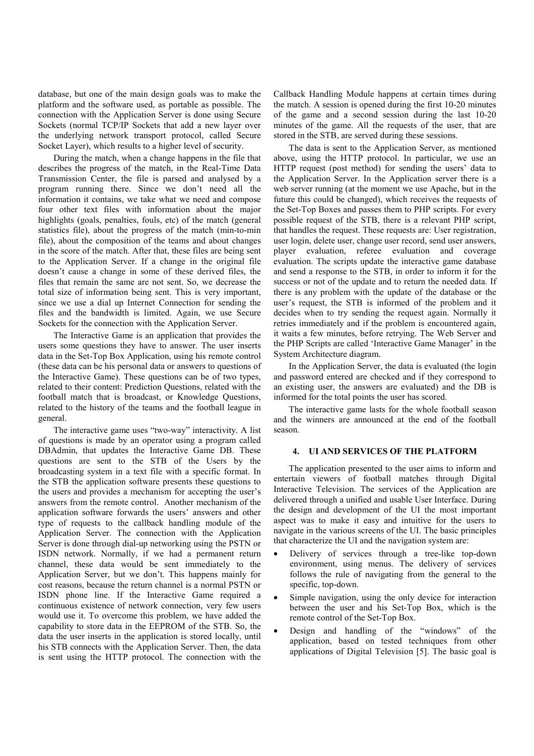database, but one of the main design goals was to make the platform and the software used, as portable as possible. The connection with the Application Server is done using Secure Sockets (normal TCP/IP Sockets that add a new layer over the underlying network transport protocol, called Secure Socket Layer), which results to a higher level of security.

During the match, when a change happens in the file that describes the progress of the match, in the Real-Time Data Transmission Center, the file is parsed and analysed by a program running there. Since we don't need all the information it contains, we take what we need and compose four other text files with information about the major highlights (goals, penalties, fouls, etc) of the match (general statistics file), about the progress of the match (min-to-min file), about the composition of the teams and about changes in the score of the match. After that, these files are being sent to the Application Server. If a change in the original file doesn't cause a change in some of these derived files, the files that remain the same are not sent. So, we decrease the total size of information being sent. This is very important, since we use a dial up Internet Connection for sending the files and the bandwidth is limited. Again, we use Secure Sockets for the connection with the Application Server.

The Interactive Game is an application that provides the users some questions they have to answer. The user inserts data in the Set-Top Box Application, using his remote control (these data can be his personal data or answers to questions of the Interactive Game). These questions can be of two types, related to their content: Prediction Questions, related with the football match that is broadcast, or Knowledge Questions, related to the history of the teams and the football league in general.

The interactive game uses "two-way" interactivity. A list of questions is made by an operator using a program called DBAdmin, that updates the Interactive Game DB. These questions are sent to the STB of the Users by the broadcasting system in a text file with a specific format. In the STB the application software presents these questions to the users and provides a mechanism for accepting the user's answers from the remote control. Another mechanism of the application software forwards the users' answers and other type of requests to the callback handling module of the Application Server. The connection with the Application Server is done through dial-up networking using the PSTN or ISDN network. Normally, if we had a permanent return channel, these data would be sent immediately to the Application Server, but we don't. This happens mainly for cost reasons, because the return channel is a normal PSTN or ISDN phone line. If the Interactive Game required a continuous existence of network connection, very few users would use it. To overcome this problem, we have added the capability to store data in the EEPROM of the STB. So, the data the user inserts in the application is stored locally, until his STB connects with the Application Server. Then, the data is sent using the HTTP protocol. The connection with the

Callback Handling Module happens at certain times during the match. A session is opened during the first 10-20 minutes of the game and a second session during the last 10-20 minutes of the game. All the requests of the user, that are stored in the STB, are served during these sessions.

The data is sent to the Application Server, as mentioned above, using the HTTP protocol. In particular, we use an HTTP request (post method) for sending the users' data to the Application Server. In the Application server there is a web server running (at the moment we use Apache, but in the future this could be changed), which receives the requests of the Set-Top Boxes and passes them to PHP scripts. For every possible request of the STB, there is a relevant PHP script, that handles the request. These requests are: User registration, user login, delete user, change user record, send user answers, player evaluation, referee evaluation and coverage evaluation. The scripts update the interactive game database and send a response to the STB, in order to inform it for the success or not of the update and to return the needed data. If there is any problem with the update of the database or the user's request, the STB is informed of the problem and it decides when to try sending the request again. Normally it retries immediately and if the problem is encountered again, it waits a few minutes, before retrying. The Web Server and the PHP Scripts are called 'Interactive Game Manager' in the System Architecture diagram.

In the Application Server, the data is evaluated (the login and password entered are checked and if they correspond to an existing user, the answers are evaluated) and the DB is informed for the total points the user has scored.

The interactive game lasts for the whole football season and the winners are announced at the end of the football season.

## **4. UI AND SERVICES OF THE PLATFORM**

The application presented to the user aims to inform and entertain viewers of football matches through Digital Interactive Television. The services of the Application are delivered through a unified and usable User Interface. During the design and development of the UI the most important aspect was to make it easy and intuitive for the users to navigate in the various screens of the UI. The basic principles that characterize the UI and the navigation system are:

- Delivery of services through a tree-like top-down environment, using menus. The delivery of services follows the rule of navigating from the general to the specific, top-down.
- Simple navigation, using the only device for interaction between the user and his Set-Top Box, which is the remote control of the Set-Top Box.
- Design and handling of the "windows" of the application, based on tested techniques from other applications of Digital Television [5]. The basic goal is